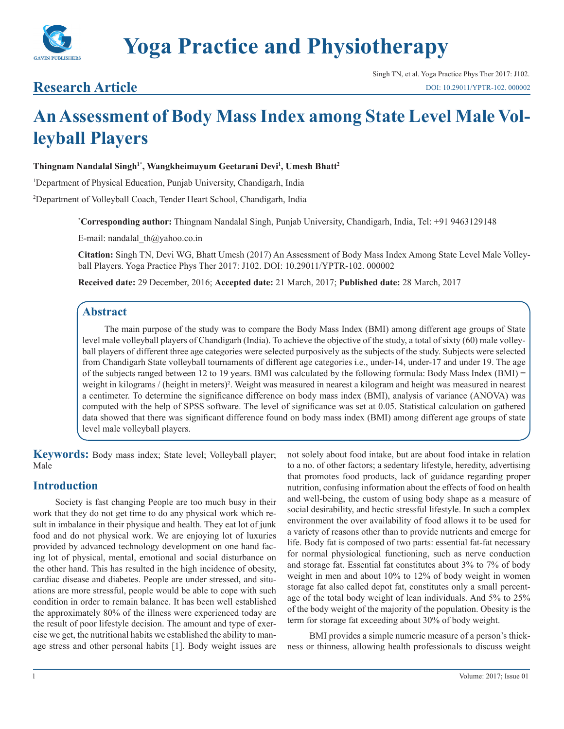

# **Research Article**

# **An Assessment of Body Mass Index among State Level Male Volleyball Players**

#### **Thingnam Nandalal Singh1\*, Wangkheimayum Geetarani Devi1 , Umesh Bhatt2**

1 Department of Physical Education, Punjab University, Chandigarh, India

2 Department of Volleyball Coach, Tender Heart School, Chandigarh, India

**\* Corresponding author:** Thingnam Nandalal Singh, Punjab University, Chandigarh, India, Tel: +91 9463129148

E-mail: nandalal\_th@yahoo.co.in

**Citation:** Singh TN, Devi WG, Bhatt Umesh (2017) An Assessment of Body Mass Index Among State Level Male Volleyball Players. Yoga Practice Phys Ther 2017: J102. DOI: 10.29011/YPTR-102. 000002

**Received date:** 29 December, 2016; **Accepted date:** 21 March, 2017; **Published date:** 28 March, 2017

#### **Abstract**

The main purpose of the study was to compare the Body Mass Index (BMI) among different age groups of State level male volleyball players of Chandigarh (India). To achieve the objective of the study, a total of sixty (60) male volleyball players of different three age categories were selected purposively as the subjects of the study. Subjects were selected from Chandigarh State volleyball tournaments of different age categories i.e., under-14, under-17 and under 19. The age of the subjects ranged between 12 to 19 years. BMI was calculated by the following formula: Body Mass Index (BMI) = weight in kilograms / (height in meters)². Weight was measured in nearest a kilogram and height was measured in nearest a centimeter. To determine the significance difference on body mass index (BMI), analysis of variance (ANOVA) was computed with the help of SPSS software. The level of significance was set at 0.05. Statistical calculation on gathered data showed that there was significant difference found on body mass index (BMI) among different age groups of state level male volleyball players.

**Keywords:** Body mass index; State level; Volleyball player; Male

#### **Introduction**

Society is fast changing People are too much busy in their work that they do not get time to do any physical work which result in imbalance in their physique and health. They eat lot of junk food and do not physical work. We are enjoying lot of luxuries provided by advanced technology development on one hand facing lot of physical, mental, emotional and social disturbance on the other hand. This has resulted in the high incidence of obesity, cardiac disease and diabetes. People are under stressed, and situations are more stressful, people would be able to cope with such condition in order to remain balance. It has been well established the approximately 80% of the illness were experienced today are the result of poor lifestyle decision. The amount and type of exercise we get, the nutritional habits we established the ability to manage stress and other personal habits [1]. Body weight issues are

not solely about food intake, but are about food intake in relation to a no. of other factors; a sedentary lifestyle, heredity, advertising that promotes food products, lack of guidance regarding proper nutrition, confusing information about the effects of food on health and well-being, the custom of using body shape as a measure of social desirability, and hectic stressful lifestyle. In such a complex environment the over availability of food allows it to be used for a variety of reasons other than to provide nutrients and emerge for life. Body fat is composed of two parts: essential fat-fat necessary for normal physiological functioning, such as nerve conduction and storage fat. Essential fat constitutes about 3% to 7% of body weight in men and about 10% to 12% of body weight in women storage fat also called depot fat, constitutes only a small percentage of the total body weight of lean individuals. And 5% to 25% of the body weight of the majority of the population. Obesity is the term for storage fat exceeding about 30% of body weight.

BMI provides a simple numeric measure of a person's thickness or thinness, allowing health professionals to discuss weight